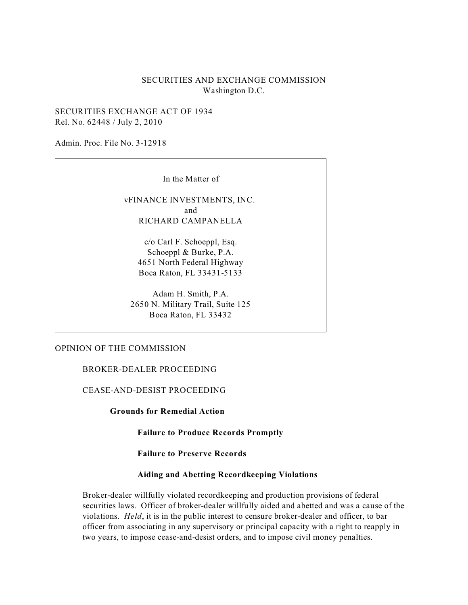# SECURITIES AND EXCHANGE COMMISSION Washington D.C.

SECURITIES EXCHANGE ACT OF 1934 Rel. No. 62448 / July 2, 2010

Admin. Proc. File No. 3-12918

In the Matter of

vFINANCE INVESTMENTS, INC. and RICHARD CAMPANELLA

c/o Carl F. Schoeppl, Esq. Schoeppl & Burke, P.A. 4651 North Federal Highway Boca Raton, FL 33431-5133

Adam H. Smith, P.A. 2650 N. Military Trail, Suite 125 Boca Raton, FL 33432

## OPINION OF THE COMMISSION

BROKER-DEALER PROCEEDING

CEASE-AND-DESIST PROCEEDING

**Grounds for Remedial Action** 

**Failure to Produce Records Promptly** 

**Failure to Preserve Records** 

### **Aiding and Abetting Recordkeeping Violations**

Broker-dealer willfully violated recordkeeping and production provisions of federal securities laws. Officer of broker-dealer willfully aided and abetted and was a cause of the violations. *Held*, it is in the public interest to censure broker-dealer and officer, to bar officer from associating in any supervisory or principal capacity with a right to reapply in two years, to impose cease-and-desist orders, and to impose civil money penalties.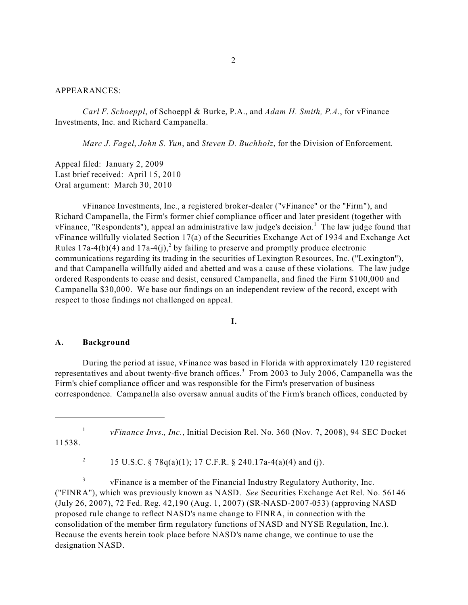#### APPEARANCES:

*Carl F. Schoeppl*, of Schoeppl & Burke, P.A., and *Adam H. Smith, P.A.*, for vFinance Investments, Inc. and Richard Campanella.

*Marc J. Fagel*, *John S. Yun*, and *Steven D. Buchholz*, for the Division of Enforcement.

Appeal filed: January 2, 2009 Last brief received: April 15, 2010 Oral argument: March 30, 2010

vFinance Investments, Inc., a registered broker-dealer ("vFinance" or the "Firm"), and Richard Campanella, the Firm's former chief compliance officer and later president (together with vFinance, "Respondents"), appeal an administrative law judge's decision.<sup>1</sup> The law judge found that vFinance willfully violated Section 17(a) of the Securities Exchange Act of 1934 and Exchange Act Rules 17a-4(b)(4) and 17a-4(j),<sup>2</sup> by failing to preserve and promptly produce electronic communications regarding its trading in the securities of Lexington Resources, Inc. ("Lexington"), and that Campanella willfully aided and abetted and was a cause of these violations. The law judge ordered Respondents to cease and desist, censured Campanella, and fined the Firm \$100,000 and Campanella \$30,000. We base our findings on an independent review of the record, except with respect to those findings not challenged on appeal.

**I.** 

#### **A. Background**

During the period at issue, vFinance was based in Florida with approximately 120 registered representatives and about twenty-five branch offices.<sup>3</sup> From 2003 to July 2006, Campanella was the Firm's chief compliance officer and was responsible for the Firm's preservation of business correspondence. Campanella also oversaw annual audits of the Firm's branch offices, conducted by

<sup>1</sup> *vFinance Invs., Inc., Initial Decision Rel. No.* 360 (Nov. 7, 2008), 94 SEC Docket 11538.

<sup>2</sup> 15 U.S.C. § 78q(a)(1); 17 C.F.R. § 240.17a-4(a)(4) and (j).

<sup>3</sup> vFinance is a member of the Financial Industry Regulatory Authority, Inc. ("FINRA"), which was previously known as NASD. *See* Securities Exchange Act Rel. No. 56146 (July 26, 2007), 72 Fed. Reg. 42,190 (Aug. 1, 2007) (SR-NASD-2007-053) (approving NASD proposed rule change to reflect NASD's name change to FINRA, in connection with the consolidation of the member firm regulatory functions of NASD and NYSE Regulation, Inc.). Because the events herein took place before NASD's name change, we continue to use the designation NASD.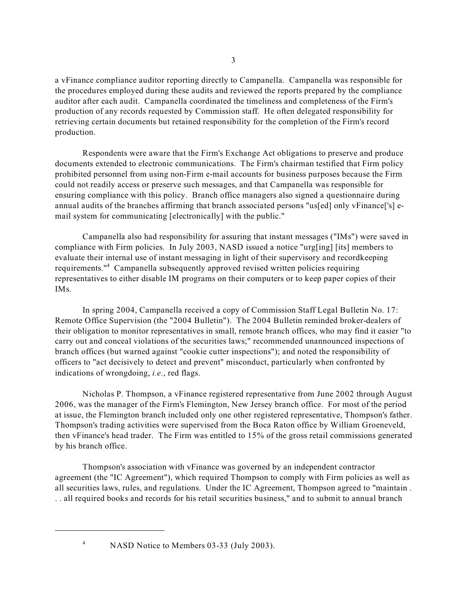a vFinance compliance auditor reporting directly to Campanella. Campanella was responsible for the procedures employed during these audits and reviewed the reports prepared by the compliance auditor after each audit. Campanella coordinated the timeliness and completeness of the Firm's production of any records requested by Commission staff. He often delegated responsibility for retrieving certain documents but retained responsibility for the completion of the Firm's record production.

Respondents were aware that the Firm's Exchange Act obligations to preserve and produce documents extended to electronic communications. The Firm's chairman testified that Firm policy prohibited personnel from using non-Firm e-mail accounts for business purposes because the Firm could not readily access or preserve such messages, and that Campanella was responsible for ensuring compliance with this policy. Branch office managers also signed a questionnaire during annual audits of the branches affirming that branch associated persons "us[ed] only vFinance['s] email system for communicating [electronically] with the public."

Campanella also had responsibility for assuring that instant messages ("IMs") were saved in compliance with Firm policies. In July 2003, NASD issued a notice "urg[ing] [its] members to evaluate their internal use of instant messaging in light of their supervisory and recordkeeping requirements."4 Campanella subsequently approved revised written policies requiring representatives to either disable IM programs on their computers or to keep paper copies of their IMs.

In spring 2004, Campanella received a copy of Commission Staff Legal Bulletin No. 17: Remote Office Supervision (the "2004 Bulletin"). The 2004 Bulletin reminded broker-dealers of their obligation to monitor representatives in small, remote branch offices, who may find it easier "to carry out and conceal violations of the securities laws;" recommended unannounced inspections of branch offices (but warned against "cookie cutter inspections"); and noted the responsibility of officers to "act decisively to detect and prevent" misconduct, particularly when confronted by indications of wrongdoing, *i.e.*, red flags.

Nicholas P. Thompson, a vFinance registered representative from June 2002 through August 2006, was the manager of the Firm's Flemington, New Jersey branch office. For most of the period at issue, the Flemington branch included only one other registered representative, Thompson's father. Thompson's trading activities were supervised from the Boca Raton office by William Groeneveld, then vFinance's head trader. The Firm was entitled to 15% of the gross retail commissions generated by his branch office.

Thompson's association with vFinance was governed by an independent contractor agreement (the "IC Agreement"), which required Thompson to comply with Firm policies as well as all securities laws, rules, and regulations. Under the IC Agreement, Thompson agreed to "maintain . . . all required books and records for his retail securities business," and to submit to annual branch

<sup>4</sup> NASD Notice to Members 03-33 (July 2003).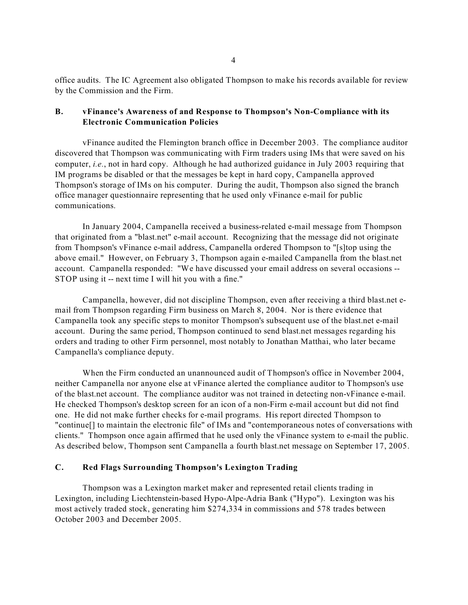office audits. The IC Agreement also obligated Thompson to make his records available for review by the Commission and the Firm.

## **B. vFinance's Awareness of and Response to Thompson's Non-Compliance with its Electronic Communication Policies**

vFinance audited the Flemington branch office in December 2003. The compliance auditor discovered that Thompson was communicating with Firm traders using IMs that were saved on his computer, *i.e.*, not in hard copy. Although he had authorized guidance in July 2003 requiring that IM programs be disabled or that the messages be kept in hard copy, Campanella approved Thompson's storage of IMs on his computer. During the audit, Thompson also signed the branch office manager questionnaire representing that he used only vFinance e-mail for public communications.

In January 2004, Campanella received a business-related e-mail message from Thompson that originated from a "blast.net" e-mail account. Recognizing that the message did not originate from Thompson's vFinance e-mail address, Campanella ordered Thompson to "[s]top using the above email." However, on February 3, Thompson again e-mailed Campanella from the blast.net account. Campanella responded: "We have discussed your email address on several occasions - STOP using it -- next time I will hit you with a fine."

Campanella, however, did not discipline Thompson, even after receiving a third blast.net email from Thompson regarding Firm business on March 8, 2004. Nor is there evidence that Campanella took any specific steps to monitor Thompson's subsequent use of the blast.net e-mail account. During the same period, Thompson continued to send blast.net messages regarding his orders and trading to other Firm personnel, most notably to Jonathan Matthai, who later became Campanella's compliance deputy.

When the Firm conducted an unannounced audit of Thompson's office in November 2004, neither Campanella nor anyone else at vFinance alerted the compliance auditor to Thompson's use of the blast.net account. The compliance auditor was not trained in detecting non-vFinance e-mail. He checked Thompson's desktop screen for an icon of a non-Firm e-mail account but did not find one. He did not make further checks for e-mail programs. His report directed Thompson to "continue[] to maintain the electronic file" of IMs and "contemporaneous notes of conversations with clients." Thompson once again affirmed that he used only the vFinance system to e-mail the public. As described below, Thompson sent Campanella a fourth blast.net message on September 17, 2005.

### **C. Red Flags Surrounding Thompson's Lexington Trading**

Thompson was a Lexington market maker and represented retail clients trading in Lexington, including Liechtenstein-based Hypo-Alpe-Adria Bank ("Hypo"). Lexington was his most actively traded stock, generating him \$274,334 in commissions and 578 trades between October 2003 and December 2005.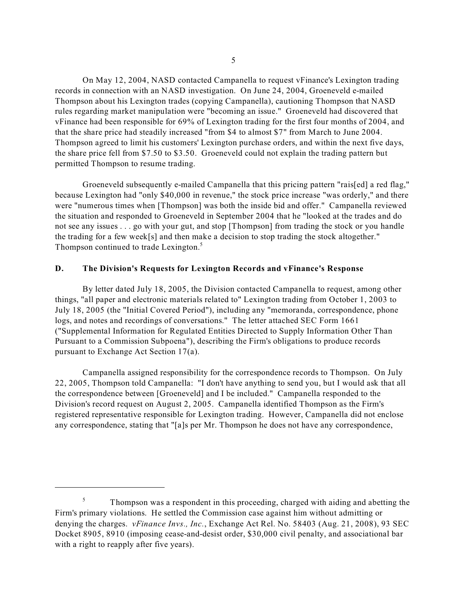On May 12, 2004, NASD contacted Campanella to request vFinance's Lexington trading records in connection with an NASD investigation. On June 24, 2004, Groeneveld e-mailed Thompson about his Lexington trades (copying Campanella), cautioning Thompson that NASD rules regarding market manipulation were "becoming an issue." Groeneveld had discovered that vFinance had been responsible for 69% of Lexington trading for the first four months of 2004, and that the share price had steadily increased "from \$4 to almost \$7" from March to June 2004. Thompson agreed to limit his customers' Lexington purchase orders, and within the next five days, the share price fell from \$7.50 to \$3.50. Groeneveld could not explain the trading pattern but permitted Thompson to resume trading.

Groeneveld subsequently e-mailed Campanella that this pricing pattern "rais[ed] a red flag," because Lexington had "only \$40,000 in revenue," the stock price increase "was orderly," and there were "numerous times when [Thompson] was both the inside bid and offer." Campanella reviewed the situation and responded to Groeneveld in September 2004 that he "looked at the trades and do not see any issues . . . go with your gut, and stop [Thompson] from trading the stock or you handle the trading for a few week[s] and then make a decision to stop trading the stock altogether." Thompson continued to trade Lexington.<sup>5</sup>

### **D. The Division's Requests for Lexington Records and vFinance's Response**

By letter dated July 18, 2005, the Division contacted Campanella to request, among other things, "all paper and electronic materials related to" Lexington trading from October 1, 2003 to July 18, 2005 (the "Initial Covered Period"), including any "memoranda, correspondence, phone logs, and notes and recordings of conversations." The letter attached SEC Form 1661 ("Supplemental Information for Regulated Entities Directed to Supply Information Other Than Pursuant to a Commission Subpoena"), describing the Firm's obligations to produce records pursuant to Exchange Act Section 17(a).

Campanella assigned responsibility for the correspondence records to Thompson. On July 22, 2005, Thompson told Campanella: "I don't have anything to send you, but I would ask that all the correspondence between [Groeneveld] and I be included." Campanella responded to the Division's record request on August 2, 2005. Campanella identified Thompson as the Firm's registered representative responsible for Lexington trading. However, Campanella did not enclose any correspondence, stating that "[a]s per Mr. Thompson he does not have any correspondence,

 denying the charges. *vFinance Invs., Inc.*, Exchange Act Rel. No. 58403 (Aug. 21, 2008), 93 SEC <sup>5</sup> Thompson was a respondent in this proceeding, charged with aiding and abetting the Firm's primary violations. He settled the Commission case against him without admitting or Docket 8905, 8910 (imposing cease-and-desist order, \$30,000 civil penalty, and associational bar with a right to reapply after five years).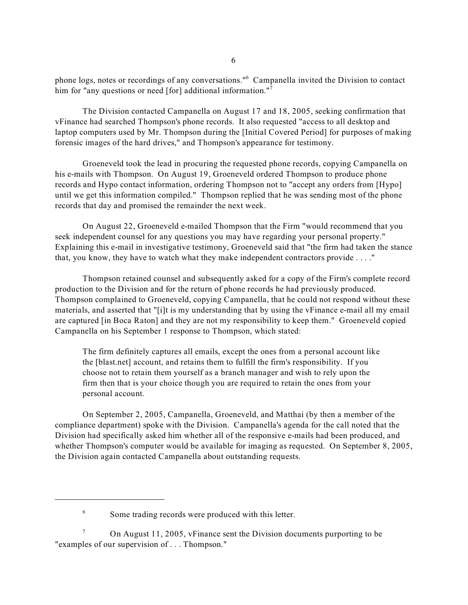phone logs, notes or recordings of any conversations."6 Campanella invited the Division to contact him for "any questions or need [for] additional information."<sup>7</sup>

The Division contacted Campanella on August 17 and 18, 2005, seeking confirmation that vFinance had searched Thompson's phone records. It also requested "access to all desktop and laptop computers used by Mr. Thompson during the [Initial Covered Period] for purposes of making forensic images of the hard drives," and Thompson's appearance for testimony.

Groeneveld took the lead in procuring the requested phone records, copying Campanella on his e-mails with Thompson. On August 19, Groeneveld ordered Thompson to produce phone records and Hypo contact information, ordering Thompson not to "accept any orders from [Hypo] until we get this information compiled." Thompson replied that he was sending most of the phone records that day and promised the remainder the next week.

On August 22, Groeneveld e-mailed Thompson that the Firm "would recommend that you seek independent counsel for any questions you may have regarding your personal property." Explaining this e-mail in investigative testimony, Groeneveld said that "the firm had taken the stance that, you know, they have to watch what they make independent contractors provide . . . ."

Thompson retained counsel and subsequently asked for a copy of the Firm's complete record production to the Division and for the return of phone records he had previously produced. Thompson complained to Groeneveld, copying Campanella, that he could not respond without these materials, and asserted that "[i]t is my understanding that by using the vFinance e-mail all my email are captured [in Boca Raton] and they are not my responsibility to keep them." Groeneveld copied Campanella on his September 1 response to Thompson, which stated:

The firm definitely captures all emails, except the ones from a personal account like the [blast.net] account, and retains them to fulfill the firm's responsibility. If you choose not to retain them yourself as a branch manager and wish to rely upon the firm then that is your choice though you are required to retain the ones from your personal account.

On September 2, 2005, Campanella, Groeneveld, and Matthai (by then a member of the compliance department) spoke with the Division. Campanella's agenda for the call noted that the Division had specifically asked him whether all of the responsive e-mails had been produced, and whether Thompson's computer would be available for imaging as requested. On September 8, 2005, the Division again contacted Campanella about outstanding requests.

<sup>6</sup> Some trading records were produced with this letter.

<sup>&</sup>lt;sup>7</sup> On August 11, 2005, vFinance sent the Division documents purporting to be "examples of our supervision of . . . Thompson."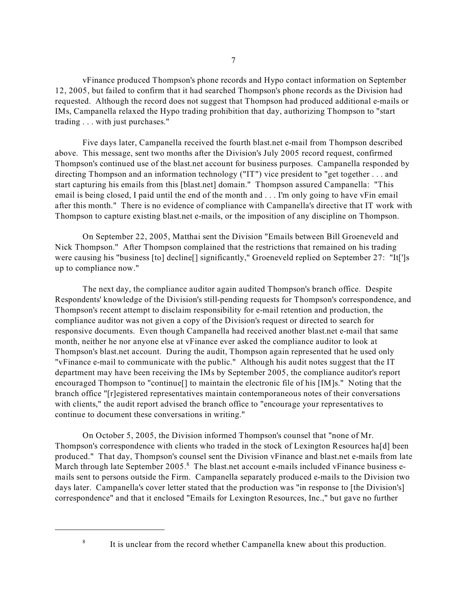vFinance produced Thompson's phone records and Hypo contact information on September 12, 2005, but failed to confirm that it had searched Thompson's phone records as the Division had requested. Although the record does not suggest that Thompson had produced additional e-mails or IMs, Campanella relaxed the Hypo trading prohibition that day, authorizing Thompson to "start trading . . . with just purchases."

Five days later, Campanella received the fourth blast.net e-mail from Thompson described above. This message, sent two months after the Division's July 2005 record request, confirmed Thompson's continued use of the blast.net account for business purposes. Campanella responded by directing Thompson and an information technology ("IT") vice president to "get together . . . and start capturing his emails from this [blast.net] domain." Thompson assured Campanella: "This email is being closed, I paid until the end of the month and . . . I'm only going to have vFin email after this month." There is no evidence of compliance with Campanella's directive that IT work with Thompson to capture existing blast.net e-mails, or the imposition of any discipline on Thompson.

On September 22, 2005, Matthai sent the Division "Emails between Bill Groeneveld and Nick Thompson." After Thompson complained that the restrictions that remained on his trading were causing his "business [to] decline[] significantly," Groeneveld replied on September 27: "It[']s up to compliance now."

The next day, the compliance auditor again audited Thompson's branch office. Despite Respondents' knowledge of the Division's still-pending requests for Thompson's correspondence, and Thompson's recent attempt to disclaim responsibility for e-mail retention and production, the compliance auditor was not given a copy of the Division's request or directed to search for responsive documents. Even though Campanella had received another blast.net e-mail that same month, neither he nor anyone else at vFinance ever asked the compliance auditor to look at Thompson's blast.net account. During the audit, Thompson again represented that he used only "vFinance e-mail to communicate with the public." Although his audit notes suggest that the IT department may have been receiving the IMs by September 2005, the compliance auditor's report encouraged Thompson to "continue[] to maintain the electronic file of his [IM]s." Noting that the branch office "[r]egistered representatives maintain contemporaneous notes of their conversations with clients," the audit report advised the branch office to "encourage your representatives to continue to document these conversations in writing."

On October 5, 2005, the Division informed Thompson's counsel that "none of Mr. Thompson's correspondence with clients who traded in the stock of Lexington Resources ha[d] been produced." That day, Thompson's counsel sent the Division vFinance and blast.net e-mails from late March through late September 2005.<sup>8</sup> The blast.net account e-mails included vFinance business emails sent to persons outside the Firm. Campanella separately produced e-mails to the Division two days later. Campanella's cover letter stated that the production was "in response to [the Division's] correspondence" and that it enclosed "Emails for Lexington Resources, Inc.," but gave no further

<sup>&</sup>lt;sup>8</sup> It is unclear from the record whether Campanella knew about this production.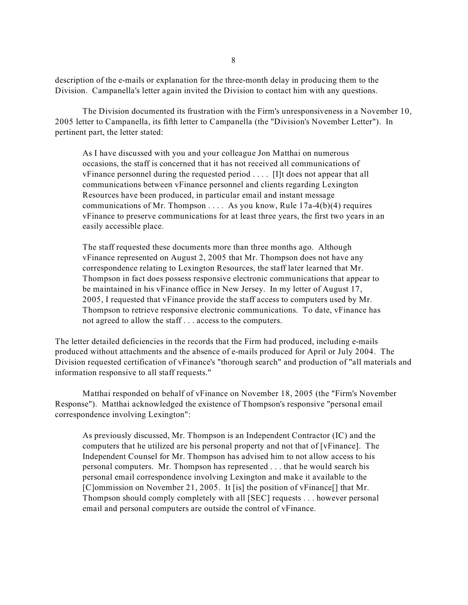description of the e-mails or explanation for the three-month delay in producing them to the Division. Campanella's letter again invited the Division to contact him with any questions.

The Division documented its frustration with the Firm's unresponsiveness in a November 10, 2005 letter to Campanella, its fifth letter to Campanella (the "Division's November Letter"). In pertinent part, the letter stated:

As I have discussed with you and your colleague Jon Matthai on numerous occasions, the staff is concerned that it has not received all communications of vFinance personnel during the requested period . . . . [I]t does not appear that all communications between vFinance personnel and clients regarding Lexington Resources have been produced, in particular email and instant message communications of Mr. Thompson  $\dots$ . As you know, Rule 17a-4(b)(4) requires vFinance to preserve communications for at least three years, the first two years in an easily accessible place.

The staff requested these documents more than three months ago. Although vFinance represented on August 2, 2005 that Mr. Thompson does not have any correspondence relating to Lexington Resources, the staff later learned that Mr. Thompson in fact does possess responsive electronic communications that appear to be maintained in his vFinance office in New Jersey. In my letter of August 17, 2005, I requested that vFinance provide the staff access to computers used by Mr. Thompson to retrieve responsive electronic communications. To date, vFinance has not agreed to allow the staff . . . access to the computers.

The letter detailed deficiencies in the records that the Firm had produced, including e-mails produced without attachments and the absence of e-mails produced for April or July 2004. The Division requested certification of vFinance's "thorough search" and production of "all materials and information responsive to all staff requests."

Matthai responded on behalf of vFinance on November 18, 2005 (the "Firm's November Response"). Matthai acknowledged the existence of Thompson's responsive "personal email correspondence involving Lexington":

As previously discussed, Mr. Thompson is an Independent Contractor (IC) and the computers that he utilized are his personal property and not that of [vFinance]. The Independent Counsel for Mr. Thompson has advised him to not allow access to his personal computers. Mr. Thompson has represented . . . that he would search his personal email correspondence involving Lexington and make it available to the [C]ommission on November 21, 2005. It [is] the position of vFinance<sup>[]</sup> that Mr. Thompson should comply completely with all [SEC] requests . . . however personal email and personal computers are outside the control of vFinance.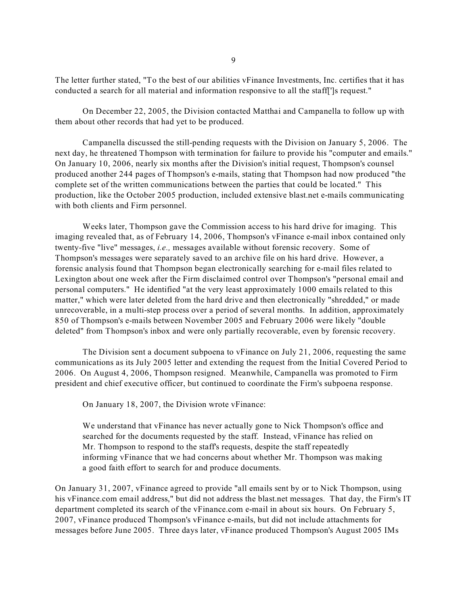The letter further stated, "To the best of our abilities vFinance Investments, Inc. certifies that it has conducted a search for all material and information responsive to all the staff[']s request."

On December 22, 2005, the Division contacted Matthai and Campanella to follow up with them about other records that had yet to be produced.

Campanella discussed the still-pending requests with the Division on January 5, 2006. The next day, he threatened Thompson with termination for failure to provide his "computer and emails." On January 10, 2006, nearly six months after the Division's initial request, Thompson's counsel produced another 244 pages of Thompson's e-mails, stating that Thompson had now produced "the complete set of the written communications between the parties that could be located." This production, like the October 2005 production, included extensive blast.net e-mails communicating with both clients and Firm personnel.

Weeks later, Thompson gave the Commission access to his hard drive for imaging. This imaging revealed that, as of February 14, 2006, Thompson's vFinance e-mail inbox contained only twenty-five "live" messages, *i.e.,* messages available without forensic recovery. Some of Thompson's messages were separately saved to an archive file on his hard drive. However, a forensic analysis found that Thompson began electronically searching for e-mail files related to Lexington about one week after the Firm disclaimed control over Thompson's "personal email and personal computers." He identified "at the very least approximately 1000 emails related to this matter," which were later deleted from the hard drive and then electronically "shredded," or made unrecoverable, in a multi-step process over a period of several months. In addition, approximately 850 of Thompson's e-mails between November 2005 and February 2006 were likely "double deleted" from Thompson's inbox and were only partially recoverable, even by forensic recovery.

president and chief executive officer, but continued to coordinate the Firm's subpoena response.<br>On January 18, 2007, the Division wrote vFinance: The Division sent a document subpoena to vFinance on July 21, 2006, requesting the same communications as its July 2005 letter and extending the request from the Initial Covered Period to 2006. On August 4, 2006, Thompson resigned. Meanwhile, Campanella was promoted to Firm

We understand that vFinance has never actually gone to Nick Thompson's office and searched for the documents requested by the staff. Instead, vFinance has relied on Mr. Thompson to respond to the staff's requests, despite the staff repeatedly informing vFinance that we had concerns about whether Mr. Thompson was making a good faith effort to search for and produce documents.

On January 31, 2007, vFinance agreed to provide "all emails sent by or to Nick Thompson, using his vFinance.com email address," but did not address the blast.net messages. That day, the Firm's IT department completed its search of the vFinance.com e-mail in about six hours. On February 5, 2007, vFinance produced Thompson's vFinance e-mails, but did not include attachments for messages before June 2005. Three days later, vFinance produced Thompson's August 2005 IMs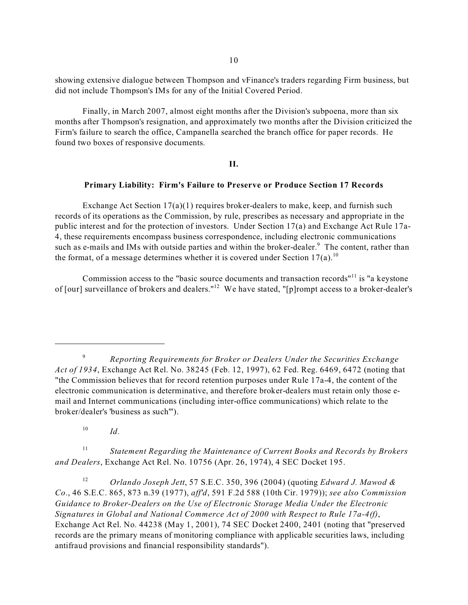showing extensive dialogue between Thompson and vFinance's traders regarding Firm business, but did not include Thompson's IMs for any of the Initial Covered Period.

Finally, in March 2007, almost eight months after the Division's subpoena, more than six months after Thompson's resignation, and approximately two months after the Division criticized the Firm's failure to search the office, Campanella searched the branch office for paper records. He found two boxes of responsive documents.

## **II.**

## **Primary Liability: Firm's Failure to Preserve or Produce Section 17 Records**

Exchange Act Section  $17(a)(1)$  requires broker-dealers to make, keep, and furnish such records of its operations as the Commission, by rule, prescribes as necessary and appropriate in the public interest and for the protection of investors. Under Section 17(a) and Exchange Act Rule 17a-4, these requirements encompass business correspondence, including electronic communications such as e-mails and IMs with outside parties and within the broker-dealer.<sup>9</sup> The content, rather than the format, of a message determines whether it is covered under Section 17(a).<sup>10</sup>

Commission access to the "basic source documents and transaction records"11 is "a keystone of [our] surveillance of brokers and dealers."12 We have stated, "[p]rompt access to a broker-dealer's

 $10$  *Id.* 

<sup>11</sup>*Statement Regarding the Maintenance of Current Books and Records by Brokers and Dealers*, Exchange Act Rel. No. 10756 (Apr. 26, 1974), 4 SEC Docket 195.

<sup>12</sup>*Orlando Joseph Jett*, 57 S.E.C. 350, 396 (2004) (quoting *Edward J. Mawod & Co.*, 46 S.E.C. 865, 873 n.39 (1977), *aff'd*, 591 F.2d 588 (10th Cir. 1979)); *see also Commission Guidance to Broker-Dealers on the Use of Electronic Storage Media Under the Electronic Signatures in Global and National Commerce Act of 2000 with Respect to Rule 17a-4(f)*, Exchange Act Rel. No. 44238 (May 1, 2001), 74 SEC Docket 2400, 2401 (noting that "preserved records are the primary means of monitoring compliance with applicable securities laws, including antifraud provisions and financial responsibility standards").

<sup>9</sup>*Reporting Requirements for Broker or Dealers Under the Securities Exchange Act of 1934*, Exchange Act Rel. No. 38245 (Feb. 12, 1997), 62 Fed. Reg. 6469, 6472 (noting that "the Commission believes that for record retention purposes under Rule 17a-4, the content of the electronic communication is determinative, and therefore broker-dealers must retain only those email and Internet communications (including inter-office communications) which relate to the broker/dealer's 'business as such'").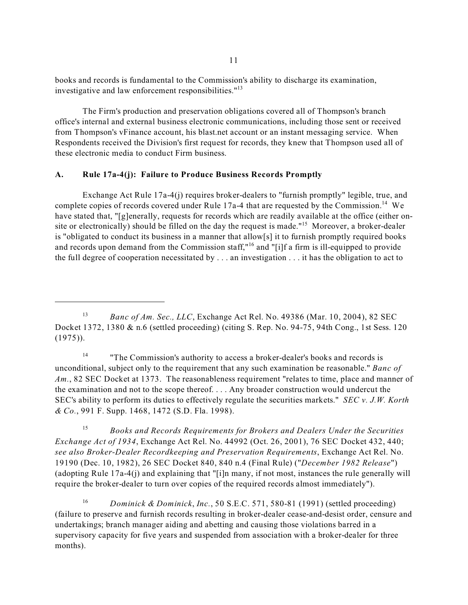books and records is fundamental to the Commission's ability to discharge its examination, investigative and law enforcement responsibilities."<sup>13</sup>

The Firm's production and preservation obligations covered all of Thompson's branch office's internal and external business electronic communications, including those sent or received from Thompson's vFinance account, his blast.net account or an instant messaging service. When Respondents received the Division's first request for records, they knew that Thompson used all of these electronic media to conduct Firm business.

# **A. Rule 17a-4(j): Failure to Produce Business Records Promptly**

Exchange Act Rule 17a-4(j) requires broker-dealers to "furnish promptly" legible, true, and complete copies of records covered under Rule 17a-4 that are requested by the Commission.<sup>14</sup> We have stated that, "[g]enerally, requests for records which are readily available at the office (either onsite or electronically) should be filled on the day the request is made."<sup>15</sup> Moreover, a broker-dealer is "obligated to conduct its business in a manner that allow[s] it to furnish promptly required books and records upon demand from the Commission staff,"<sup>16</sup> and "[i]f a firm is ill-equipped to provide the full degree of cooperation necessitated by . . . an investigation . . . it has the obligation to act to

<sup>14</sup> "The Commission's authority to access a broker-dealer's books and records is unconditional, subject only to the requirement that any such examination be reasonable." *Banc of*  Am., 82 SEC Docket at 1373. The reasonableness requirement "relates to time, place and manner of the examination and not to the scope thereof. . . . Any broader construction would undercut the SEC's ability to perform its duties to effectively regulate the securities markets." *SEC v. J.W. Korth & Co.*, 991 F. Supp. 1468, 1472 (S.D. Fla. 1998).

<sup>15</sup>*Books and Records Requirements for Brokers and Dealers Under the Securities Exchange Act of 1934*, Exchange Act Rel. No. 44992 (Oct. 26, 2001), 76 SEC Docket 432, 440; *see also Broker-Dealer Recordkeeping and Preservation Requirements*, Exchange Act Rel. No. 19190 (Dec. 10, 1982), 26 SEC Docket 840, 840 n.4 (Final Rule) ("*December 1982 Release*") (adopting Rule 17a-4(j) and explaining that "[i]n many, if not most, instances the rule generally will require the broker-dealer to turn over copies of the required records almost immediately").

<sup>16</sup>*Dominick & Dominick*, *Inc.*, 50 S.E.C. 571, 580-81 (1991) (settled proceeding) (failure to preserve and furnish records resulting in broker-dealer cease-and-desist order, censure and undertakings; branch manager aiding and abetting and causing those violations barred in a supervisory capacity for five years and suspended from association with a broker-dealer for three months).

<sup>&</sup>lt;sup>13</sup> Banc of Am. Sec., LLC, Exchange Act Rel. No. 49386 (Mar. 10, 2004), 82 SEC Docket 1372, 1380 & n.6 (settled proceeding) (citing S. Rep. No. 94-75, 94th Cong., 1st Sess. 120 (1975)).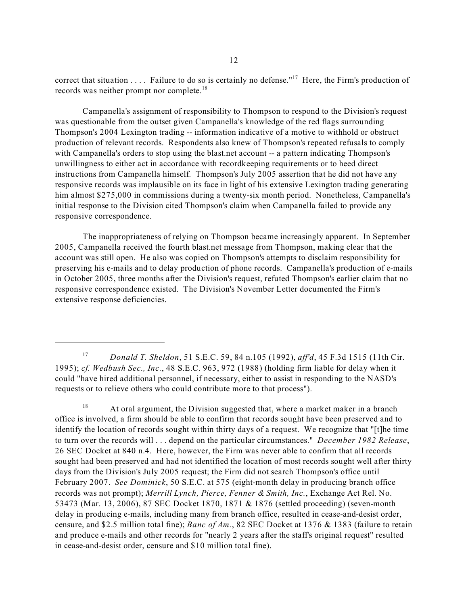records was neither prompt nor complete.<sup>18</sup> correct that situation  $\dots$ . Failure to do so is certainly no defense."<sup>17</sup> Here, the Firm's production of

Campanella's assignment of responsibility to Thompson to respond to the Division's request was questionable from the outset given Campanella's knowledge of the red flags surrounding Thompson's 2004 Lexington trading -- information indicative of a motive to withhold or obstruct production of relevant records. Respondents also knew of Thompson's repeated refusals to comply with Campanella's orders to stop using the blast.net account -- a pattern indicating Thompson's unwillingness to either act in accordance with recordkeeping requirements or to heed direct instructions from Campanella himself. Thompson's July 2005 assertion that he did not have any responsive records was implausible on its face in light of his extensive Lexington trading generating him almost \$275,000 in commissions during a twenty-six month period. Nonetheless, Campanella's initial response to the Division cited Thompson's claim when Campanella failed to provide any responsive correspondence.

The inappropriateness of relying on Thompson became increasingly apparent. In September 2005, Campanella received the fourth blast.net message from Thompson, making clear that the account was still open. He also was copied on Thompson's attempts to disclaim responsibility for preserving his e-mails and to delay production of phone records. Campanella's production of e-mails in October 2005, three months after the Division's request, refuted Thompson's earlier claim that no responsive correspondence existed. The Division's November Letter documented the Firm's extensive response deficiencies.

<sup>17</sup>*Donald T. Sheldon*, 51 S.E.C. 59, 84 n.105 (1992), *aff'd*, 45 F.3d 1515 (11th Cir. 1995); *cf. Wedbush Sec., Inc.*, 48 S.E.C. 963, 972 (1988) (holding firm liable for delay when it could "have hired additional personnel, if necessary, either to assist in responding to the NASD's requests or to relieve others who could contribute more to that process").

<sup>&</sup>lt;sup>18</sup> At oral argument, the Division suggested that, where a market maker in a branch office is involved, a firm should be able to confirm that records sought have been preserved and to identify the location of records sought within thirty days of a request. We recognize that "[t]he time to turn over the records will . . . depend on the particular circumstances." *December 1982 Release*, 26 SEC Docket at 840 n.4. Here, however, the Firm was never able to confirm that all records sought had been preserved and had not identified the location of most records sought well after thirty days from the Division's July 2005 request; the Firm did not search Thompson's office until February 2007. *See Dominick*, 50 S.E.C. at 575 (eight-month delay in producing branch office records was not prompt); *Merrill Lynch, Pierce, Fenner & Smith, Inc.*, Exchange Act Rel. No. 53473 (Mar. 13, 2006), 87 SEC Docket 1870, 1871 & 1876 (settled proceeding) (seven-month delay in producing e-mails, including many from branch office, resulted in cease-and-desist order, censure, and \$2.5 million total fine); *Banc of Am.*, 82 SEC Docket at 1376 & 1383 (failure to retain and produce e-mails and other records for "nearly 2 years after the staff's original request" resulted in cease-and-desist order, censure and \$10 million total fine).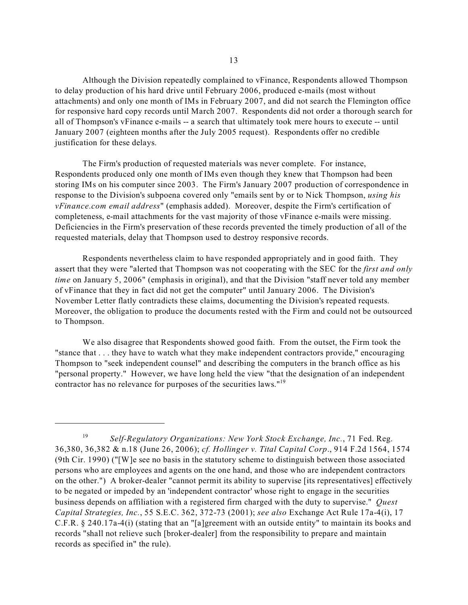Although the Division repeatedly complained to vFinance, Respondents allowed Thompson to delay production of his hard drive until February 2006, produced e-mails (most without attachments) and only one month of IMs in February 2007, and did not search the Flemington office for responsive hard copy records until March 2007. Respondents did not order a thorough search for all of Thompson's vFinance e-mails -- a search that ultimately took mere hours to execute -- until January 2007 (eighteen months after the July 2005 request). Respondents offer no credible justification for these delays.

The Firm's production of requested materials was never complete. For instance, Respondents produced only one month of IMs even though they knew that Thompson had been storing IMs on his computer since 2003. The Firm's January 2007 production of correspondence in response to the Division's subpoena covered only "emails sent by or to Nick Thompson, *using his vFinance.com email address*" (emphasis added). Moreover, despite the Firm's certification of completeness, e-mail attachments for the vast majority of those vFinance e-mails were missing. Deficiencies in the Firm's preservation of these records prevented the timely production of all of the requested materials, delay that Thompson used to destroy responsive records.

Respondents nevertheless claim to have responded appropriately and in good faith. They assert that they were "alerted that Thompson was not cooperating with the SEC for the *first and only time* on January 5, 2006" (emphasis in original), and that the Division "staff never told any member of vFinance that they in fact did not get the computer" until January 2006. The Division's November Letter flatly contradicts these claims, documenting the Division's repeated requests. Moreover, the obligation to produce the documents rested with the Firm and could not be outsourced to Thompson.

contractor has no relevance for purposes of the securities laws."<sup>19</sup> We also disagree that Respondents showed good faith. From the outset, the Firm took the "stance that . . . they have to watch what they make independent contractors provide," encouraging Thompson to "seek independent counsel" and describing the computers in the branch office as his "personal property." However, we have long held the view "that the designation of an independent

<sup>19</sup>*Self-Regulatory Organizations: New York Stock Exchange, Inc.*, 71 Fed. Reg. 36,380, 36,382 & n.18 (June 26, 2006); *cf. Hollinger v. Tital Capital Corp*., 914 F.2d 1564, 1574 (9th Cir. 1990) ("[W]e see no basis in the statutory scheme to distinguish between those associated persons who are employees and agents on the one hand, and those who are independent contractors on the other.") A broker-dealer "cannot permit its ability to supervise [its representatives] effectively to be negated or impeded by an 'independent contractor' whose right to engage in the securities business depends on affiliation with a registered firm charged with the duty to supervise." *Quest Capital Strategies, Inc.*, 55 S.E.C. 362, 372-73 (2001); *see also* Exchange Act Rule 17a-4(i), 17 C.F.R. § 240.17a-4(i) (stating that an "[a]greement with an outside entity" to maintain its books and records "shall not relieve such [broker-dealer] from the responsibility to prepare and maintain records as specified in" the rule).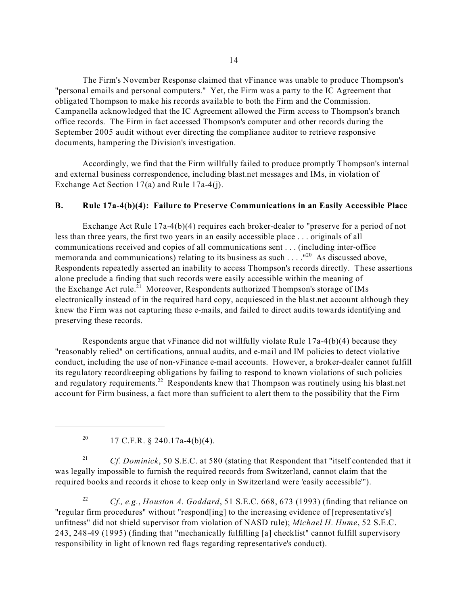The Firm's November Response claimed that vFinance was unable to produce Thompson's "personal emails and personal computers." Yet, the Firm was a party to the IC Agreement that obligated Thompson to make his records available to both the Firm and the Commission. Campanella acknowledged that the IC Agreement allowed the Firm access to Thompson's branch office records. The Firm in fact accessed Thompson's computer and other records during the September 2005 audit without ever directing the compliance auditor to retrieve responsive documents, hampering the Division's investigation.

Accordingly, we find that the Firm willfully failed to produce promptly Thompson's internal and external business correspondence, including blast.net messages and IMs, in violation of Exchange Act Section 17(a) and Rule 17a-4(j).

# **B. Rule 17a-4(b)(4): Failure to Preserve Communications in an Easily Accessible Place**

Exchange Act Rule 17a-4(b)(4) requires each broker-dealer to "preserve for a period of not less than three years, the first two years in an easily accessible place . . . originals of all communications received and copies of all communications sent . . . (including inter-office memoranda and communications) relating to its business as such  $\dots$ . "<sup>20</sup> As discussed above, Respondents repeatedly asserted an inability to access Thompson's records directly. These assertions alone preclude a finding that such records were easily accessible within the meaning of the Exchange Act rule.<sup>21</sup> Moreover, Respondents authorized Thompson's storage of IMs electronically instead of in the required hard copy, acquiesced in the blast.net account although they knew the Firm was not capturing these e-mails, and failed to direct audits towards identifying and preserving these records.

Respondents argue that vFinance did not willfully violate Rule 17a-4(b)(4) because they "reasonably relied" on certifications, annual audits, and e-mail and IM policies to detect violative conduct, including the use of non-vFinance e-mail accounts. However, a broker-dealer cannot fulfill its regulatory recordkeeping obligations by failing to respond to known violations of such policies and regulatory requirements.<sup>22</sup> Respondents knew that Thompson was routinely using his blast.net account for Firm business, a fact more than sufficient to alert them to the possibility that the Firm

<sup>20</sup> 17 C.F.R. § 240.17a-4(b)(4).

<sup>21</sup> Cf. Dominick, 50 S.E.C. at 580 (stating that Respondent that "itself contended that it was legally impossible to furnish the required records from Switzerland, cannot claim that the required books and records it chose to keep only in Switzerland were 'easily accessible'").

<sup>22</sup>*Cf., e.g.*, *Houston A. Goddard*, 51 S.E.C. 668, 673 (1993) (finding that reliance on "regular firm procedures" without "respond[ing] to the increasing evidence of [representative's] unfitness" did not shield supervisor from violation of NASD rule); *Michael H. Hume*, 52 S.E.C. 243, 248-49 (1995) (finding that "mechanically fulfilling [a] checklist" cannot fulfill supervisory responsibility in light of known red flags regarding representative's conduct).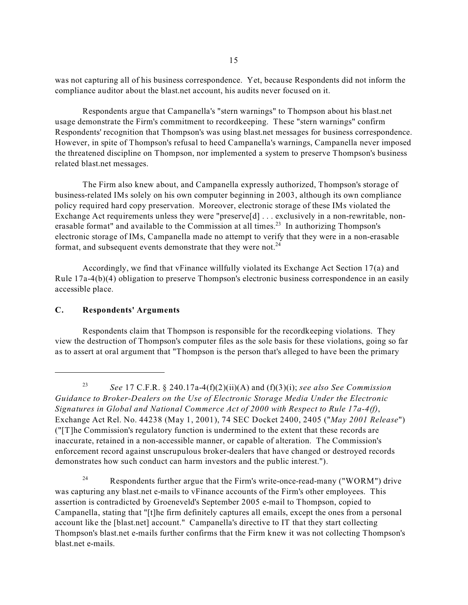was not capturing all of his business correspondence. Yet, because Respondents did not inform the compliance auditor about the blast.net account, his audits never focused on it.

Respondents argue that Campanella's "stern warnings" to Thompson about his blast.net usage demonstrate the Firm's commitment to recordkeeping. These "stern warnings" confirm Respondents' recognition that Thompson's was using blast.net messages for business correspondence. However, in spite of Thompson's refusal to heed Campanella's warnings, Campanella never imposed the threatened discipline on Thompson, nor implemented a system to preserve Thompson's business related blast.net messages.

The Firm also knew about, and Campanella expressly authorized, Thompson's storage of business-related IMs solely on his own computer beginning in 2003, although its own compliance policy required hard copy preservation. Moreover, electronic storage of these IMs violated the Exchange Act requirements unless they were "preserve<sup>[d]</sup> . . . exclusively in a non-rewritable, nonerasable format" and available to the Commission at all times.<sup>23</sup> In authorizing Thompson's electronic storage of IMs, Campanella made no attempt to verify that they were in a non-erasable format, and subsequent events demonstrate that they were not. $^{24}$ 

Accordingly, we find that vFinance willfully violated its Exchange Act Section 17(a) and Rule 17a-4(b)(4) obligation to preserve Thompson's electronic business correspondence in an easily accessible place.

## **C. Respondents' Arguments**

Respondents claim that Thompson is responsible for the recordkeeping violations. They view the destruction of Thompson's computer files as the sole basis for these violations, going so far as to assert at oral argument that "Thompson is the person that's alleged to have been the primary

<sup>23</sup>*See* 17 C.F.R. § 240.17a-4(f)(2)(ii)(A) and (f)(3)(i); *see also See Commission Guidance to Broker-Dealers on the Use of Electronic Storage Media Under the Electronic Signatures in Global and National Commerce Act of 2000 with Respect to Rule 17a-4(f)*, Exchange Act Rel. No. 44238 (May 1, 2001), 74 SEC Docket 2400, 2405 ("*May 2001 Release*") ("[T]he Commission's regulatory function is undermined to the extent that these records are inaccurate, retained in a non-accessible manner, or capable of alteration. The Commission's enforcement record against unscrupulous broker-dealers that have changed or destroyed records demonstrates how such conduct can harm investors and the public interest.").

<sup>&</sup>lt;sup>24</sup> Respondents further argue that the Firm's write-once-read-many ("WORM") drive was capturing any blast.net e-mails to vFinance accounts of the Firm's other employees. This assertion is contradicted by Groeneveld's September 2005 e-mail to Thompson, copied to Campanella, stating that "[t]he firm definitely captures all emails, except the ones from a personal account like the [blast.net] account." Campanella's directive to IT that they start collecting Thompson's blast.net e-mails further confirms that the Firm knew it was not collecting Thompson's blast.net e-mails.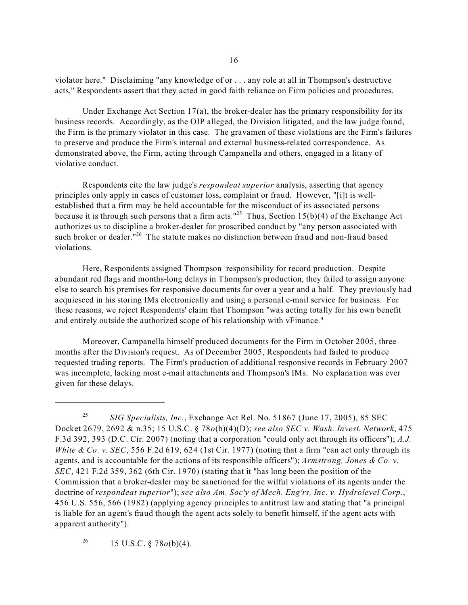violator here." Disclaiming "any knowledge of or . . . any role at all in Thompson's destructive acts," Respondents assert that they acted in good faith reliance on Firm policies and procedures.

Under Exchange Act Section 17(a), the broker-dealer has the primary responsibility for its business records. Accordingly, as the OIP alleged, the Division litigated, and the law judge found, the Firm is the primary violator in this case. The gravamen of these violations are the Firm's failures to preserve and produce the Firm's internal and external business-related correspondence. As demonstrated above, the Firm, acting through Campanella and others, engaged in a litany of violative conduct.

Respondents cite the law judge's *respondeat superior* analysis, asserting that agency principles only apply in cases of customer loss, complaint or fraud. However, "[i]t is wellestablished that a firm may be held accountable for the misconduct of its associated persons because it is through such persons that a firm acts."<sup>25</sup> Thus, Section 15(b)(4) of the Exchange Act authorizes us to discipline a broker-dealer for proscribed conduct by "any person associated with such broker or dealer."<sup>26</sup> The statute makes no distinction between fraud and non-fraud based violations.

Here, Respondents assigned Thompson responsibility for record production. Despite abundant red flags and months-long delays in Thompson's production, they failed to assign anyone else to search his premises for responsive documents for over a year and a half. They previously had acquiesced in his storing IMs electronically and using a personal e-mail service for business. For these reasons, we reject Respondents' claim that Thompson "was acting totally for his own benefit and entirely outside the authorized scope of his relationship with vFinance."

Moreover, Campanella himself produced documents for the Firm in October 2005, three months after the Division's request. As of December 2005, Respondents had failed to produce requested trading reports. The Firm's production of additional responsive records in February 2007 was incomplete, lacking most e-mail attachments and Thompson's IMs. No explanation was ever given for these delays.

<sup>26</sup> 15 U.S.C. § 78 $o(b)(4)$ .

<sup>25</sup>*SIG Specialists, Inc.*, Exchange Act Rel. No. 51867 (June 17, 2005), 85 SEC Docket 2679, 2692 & n.35; 15 U.S.C. § 78*o*(b)(4)(D); *see also SEC v. Wash. Invest. Network*, 475 F.3d 392, 393 (D.C. Cir. 2007) (noting that a corporation "could only act through its officers"); *A.J. White & Co. v. SEC*, 556 F.2d 619, 624 (1st Cir. 1977) (noting that a firm "can act only through its agents, and is accountable for the actions of its responsible officers"); *Armstrong, Jones & Co. v. SEC*, 421 F.2d 359, 362 (6th Cir. 1970) (stating that it "has long been the position of the Commission that a broker-dealer may be sanctioned for the wilful violations of its agents under the doctrine of *respondeat superior*"); *see also Am. Soc'y of Mech. Eng'rs, Inc. v. Hydrolevel Corp.*, 456 U.S. 556, 566 (1982) (applying agency principles to antitrust law and stating that "a principal is liable for an agent's fraud though the agent acts solely to benefit himself, if the agent acts with apparent authority").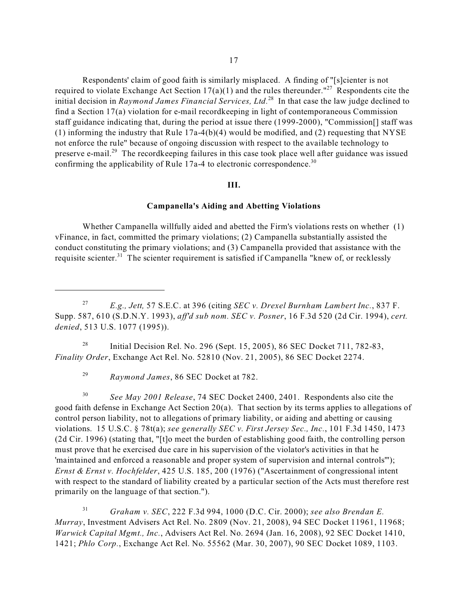confirming the applicability of Rule  $17a-4$  to electronic correspondence.<sup>30</sup> Respondents' claim of good faith is similarly misplaced. A finding of "[s]cienter is not required to violate Exchange Act Section  $17(a)(1)$  and the rules thereunder."<sup>27</sup> Respondents cite the initial decision in *Raymond James Financial Services, Ltd.*28 In that case the law judge declined to find a Section 17(a) violation for e-mail recordkeeping in light of contemporaneous Commission staff guidance indicating that, during the period at issue there (1999-2000), "Commission[] staff was (1) informing the industry that Rule  $17a-4(b)(4)$  would be modified, and (2) requesting that NYSE not enforce the rule" because of ongoing discussion with respect to the available technology to preserve e-mail.<sup>29</sup> The recordkeeping failures in this case took place well after guidance was issued

## **III.**

## **Campanella's Aiding and Abetting Violations**

Whether Campanella willfully aided and abetted the Firm's violations rests on whether (1) vFinance, in fact, committed the primary violations; (2) Campanella substantially assisted the conduct constituting the primary violations; and (3) Campanella provided that assistance with the requisite scienter.<sup>31</sup> The scienter requirement is satisfied if Campanella "knew of, or recklessly

<sup>28</sup> Initial Decision Rel. No. 296 (Sept. 15, 2005), 86 SEC Docket 711, 782-83, *Finality Order*, Exchange Act Rel. No. 52810 (Nov. 21, 2005), 86 SEC Docket 2274.

<sup>29</sup>*Raymond James*, 86 SEC Docket at 782.

<sup>30</sup>*See May 2001 Release*, 74 SEC Docket 2400, 2401. Respondents also cite the good faith defense in Exchange Act Section 20(a). That section by its terms applies to allegations of control person liability, not to allegations of primary liability, or aiding and abetting or causing violations. 15 U.S.C. § 78t(a); *see generally SEC v. First Jersey Sec., Inc.*, 101 F.3d 1450, 1473 (2d Cir. 1996) (stating that, "[t]o meet the burden of establishing good faith, the controlling person must prove that he exercised due care in his supervision of the violator's activities in that he 'maintained and enforced a reasonable and proper system of supervision and internal controls'"); *Ernst & Ernst v. Hochfelder*, 425 U.S. 185, 200 (1976) ("Ascertainment of congressional intent with respect to the standard of liability created by a particular section of the Acts must therefore rest primarily on the language of that section.").

<sup>31</sup>*Graham v. SEC*, 222 F.3d 994, 1000 (D.C. Cir. 2000); *see also Brendan E. Murray*, Investment Advisers Act Rel. No. 2809 (Nov. 21, 2008), 94 SEC Docket 11961, 11968; *Warwick Capital Mgmt., Inc.*, Advisers Act Rel. No. 2694 (Jan. 16, 2008), 92 SEC Docket 1410, 1421; *Phlo Corp.*, Exchange Act Rel. No. 55562 (Mar. 30, 2007), 90 SEC Docket 1089, 1103.

<sup>27</sup>*E.g., Jett,* 57 S.E.C. at 396 (citing *SEC v. Drexel Burnham Lambert Inc.*, 837 F. Supp. 587, 610 (S.D.N.Y. 1993), *aff'd sub nom. SEC v. Posner*, 16 F.3d 520 (2d Cir. 1994), *cert. denied*, 513 U.S. 1077 (1995)).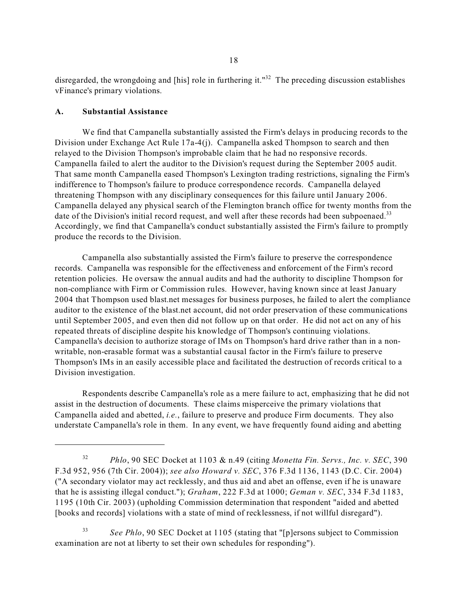disregarded, the wrongdoing and [his] role in furthering it."<sup>32</sup> The preceding discussion establishes vFinance's primary violations.

#### **A. Substantial Assistance**

We find that Campanella substantially assisted the Firm's delays in producing records to the Division under Exchange Act Rule 17a-4(j). Campanella asked Thompson to search and then relayed to the Division Thompson's improbable claim that he had no responsive records. Campanella failed to alert the auditor to the Division's request during the September 2005 audit. That same month Campanella eased Thompson's Lexington trading restrictions, signaling the Firm's indifference to Thompson's failure to produce correspondence records. Campanella delayed threatening Thompson with any disciplinary consequences for this failure until January 2006. Campanella delayed any physical search of the Flemington branch office for twenty months from the date of the Division's initial record request, and well after these records had been subpoenaed.<sup>33</sup> Accordingly, we find that Campanella's conduct substantially assisted the Firm's failure to promptly produce the records to the Division.

Campanella also substantially assisted the Firm's failure to preserve the correspondence records. Campanella was responsible for the effectiveness and enforcement of the Firm's record retention policies. He oversaw the annual audits and had the authority to discipline Thompson for non-compliance with Firm or Commission rules. However, having known since at least January 2004 that Thompson used blast.net messages for business purposes, he failed to alert the compliance auditor to the existence of the blast.net account, did not order preservation of these communications until September 2005, and even then did not follow up on that order. He did not act on any of his repeated threats of discipline despite his knowledge of Thompson's continuing violations. Campanella's decision to authorize storage of IMs on Thompson's hard drive rather than in a nonwritable, non-erasable format was a substantial causal factor in the Firm's failure to preserve Thompson's IMs in an easily accessible place and facilitated the destruction of records critical to a Division investigation.

Respondents describe Campanella's role as a mere failure to act, emphasizing that he did not assist in the destruction of documents. These claims misperceive the primary violations that Campanella aided and abetted, *i.e.*, failure to preserve and produce Firm documents. They also understate Campanella's role in them. In any event, we have frequently found aiding and abetting

<sup>32</sup>*Phlo*, 90 SEC Docket at 1103 & n.49 (citing *Monetta Fin. Servs., Inc. v. SEC*, 390 F.3d 952, 956 (7th Cir. 2004)); *see also Howard v. SEC*, 376 F.3d 1136, 1143 (D.C. Cir. 2004) ("A secondary violator may act recklessly, and thus aid and abet an offense, even if he is unaware that he is assisting illegal conduct."); *Graham*, 222 F.3d at 1000; *Geman v. SEC*, 334 F.3d 1183, 1195 (10th Cir. 2003) (upholding Commission determination that respondent "aided and abetted [books and records] violations with a state of mind of recklessness, if not willful disregard").

<sup>33</sup>*See Phlo*, 90 SEC Docket at 1105 (stating that "[p]ersons subject to Commission examination are not at liberty to set their own schedules for responding").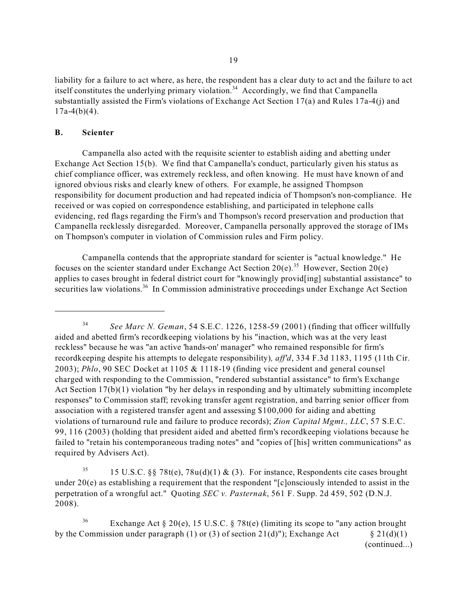liability for a failure to act where, as here, the respondent has a clear duty to act and the failure to act itself constitutes the underlying primary violation.<sup>34</sup> Accordingly, we find that Campanella substantially assisted the Firm's violations of Exchange Act Section 17(a) and Rules 17a-4(j) and  $17a-4(b)(4)$ .

### **B. Scienter**

Campanella also acted with the requisite scienter to establish aiding and abetting under Exchange Act Section 15(b). We find that Campanella's conduct, particularly given his status as chief compliance officer, was extremely reckless, and often knowing. He must have known of and ignored obvious risks and clearly knew of others. For example, he assigned Thompson responsibility for document production and had repeated indicia of Thompson's non-compliance. He received or was copied on correspondence establishing, and participated in telephone calls evidencing, red flags regarding the Firm's and Thompson's record preservation and production that Campanella recklessly disregarded. Moreover, Campanella personally approved the storage of IMs on Thompson's computer in violation of Commission rules and Firm policy.

Campanella contends that the appropriate standard for scienter is "actual knowledge." He focuses on the scienter standard under Exchange Act Section 20(e).<sup>35</sup> However, Section 20(e) applies to cases brought in federal district court for "knowingly provid[ing] substantial assistance" to securities law violations.<sup>36</sup> In Commission administrative proceedings under Exchange Act Section

<sup>35</sup> 15 U.S.C. §§ 78t(e), 78u(d)(1) & (3). For instance, Respondents cite cases brought under  $20(e)$  as establishing a requirement that the respondent "[c]onsciously intended to assist in the perpetration of a wrongful act." Quoting *SEC v. Pasternak*, 561 F. Supp. 2d 459, 502 (D.N.J. 2008).

by the Commission under paragraph (1) or (3) of section  $21(d)$ "); Exchange Act  $\S 21(d)(1)$ <sup>36</sup> Exchange Act  $\S 20(e)$ , 15 U.S.C.  $\S 78t(e)$  (limiting its scope to "any action brought (continued...)

<sup>34</sup>*See Marc N. Geman*, 54 S.E.C. 1226, 1258-59 (2001) (finding that officer willfully aided and abetted firm's recordkeeping violations by his "inaction, which was at the very least reckless" because he was "an active 'hands-on' manager" who remained responsible for firm's recordkeeping despite his attempts to delegate responsibility)*, aff'd*, 334 F.3d 1183, 1195 (11th Cir. 2003); *Phlo*, 90 SEC Docket at 1105 & 1118-19 (finding vice president and general counsel charged with responding to the Commission, "rendered substantial assistance" to firm's Exchange Act Section 17(b)(1) violation "by her delays in responding and by ultimately submitting incomplete responses" to Commission staff; revoking transfer agent registration, and barring senior officer from association with a registered transfer agent and assessing \$100,000 for aiding and abetting violations of turnaround rule and failure to produce records); *Zion Capital Mgmt., LLC*, 57 S.E.C. 99, 116 (2003) (holding that president aided and abetted firm's recordkeeping violations because he failed to "retain his contemporaneous trading notes" and "copies of [his] written communications" as required by Advisers Act).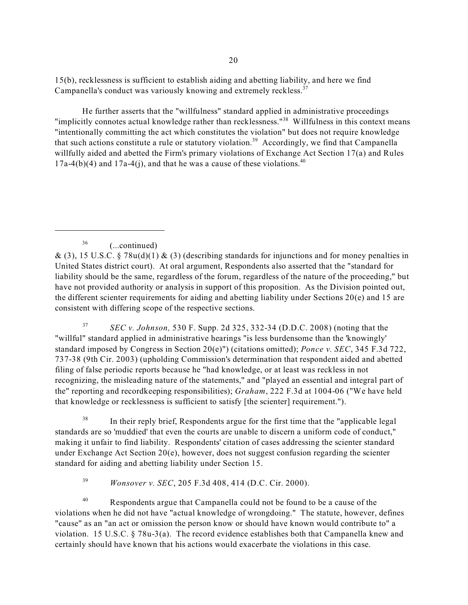Campanella's conduct was variously knowing and extremely reckless.<sup>37</sup> 15(b), recklessness is sufficient to establish aiding and abetting liability, and here we find

He further asserts that the "willfulness" standard applied in administrative proceedings "implicitly connotes actual knowledge rather than recklessness."<sup>38</sup> Willfulness in this context means "intentionally committing the act which constitutes the violation" but does not require knowledge that such actions constitute a rule or statutory violation.<sup>39</sup> Accordingly, we find that Campanella willfully aided and abetted the Firm's primary violations of Exchange Act Section 17(a) and Rules  $17a-4(b)(4)$  and  $17a-4(i)$ , and that he was a cause of these violations.<sup>40</sup>

<sup>37</sup>*SEC v. Johnson,* 530 F. Supp. 2d 325, 332-34 (D.D.C. 2008) (noting that the "willful" standard applied in administrative hearings "is less burdensome than the 'knowingly' standard imposed by Congress in Section 20(e)") (citations omitted); *Ponce v. SEC*, 345 F.3d 722, 737-38 (9th Cir. 2003) (upholding Commission's determination that respondent aided and abetted filing of false periodic reports because he "had knowledge, or at least was reckless in not recognizing, the misleading nature of the statements," and "played an essential and integral part of the" reporting and recordkeeping responsibilities); *Graham*, 222 F.3d at 1004-06 ("We have held that knowledge or recklessness is sufficient to satisfy [the scienter] requirement.").

<sup>38</sup> In their reply brief, Respondents argue for the first time that the "applicable legal" standards are so 'muddied' that even the courts are unable to discern a uniform code of conduct," making it unfair to find liability. Respondents' citation of cases addressing the scienter standard under Exchange Act Section 20(e), however, does not suggest confusion regarding the scienter standard for aiding and abetting liability under Section 15.

<sup>39</sup>*Wonsover v. SEC*, 205 F.3d 408, 414 (D.C. Cir. 2000).

<sup>40</sup> Respondents argue that Campanella could not be found to be a cause of the violations when he did not have "actual knowledge of wrongdoing." The statute, however, defines "cause" as an "an act or omission the person know or should have known would contribute to" a violation. 15 U.S.C. § 78u-3(a). The record evidence establishes both that Campanella knew and certainly should have known that his actions would exacerbate the violations in this case.

<sup>36 (...</sup>continued)

<sup>&</sup>amp; (3), 15 U.S.C. § 78u(d)(1) & (3) (describing standards for injunctions and for money penalties in United States district court). At oral argument, Respondents also asserted that the "standard for liability should be the same, regardless of the forum, regardless of the nature of the proceeding," but have not provided authority or analysis in support of this proposition. As the Division pointed out, the different scienter requirements for aiding and abetting liability under Sections 20(e) and 15 are consistent with differing scope of the respective sections.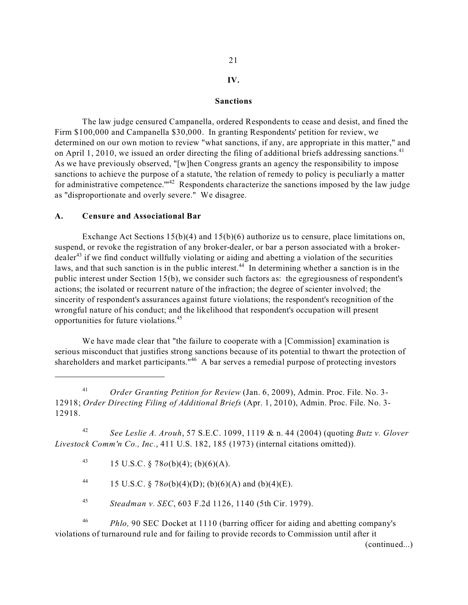# 21

# **IV.**

#### **Sanctions**

The law judge censured Campanella, ordered Respondents to cease and desist, and fined the Firm \$100,000 and Campanella \$30,000. In granting Respondents' petition for review, we determined on our own motion to review "what sanctions, if any, are appropriate in this matter," and on April 1, 2010, we issued an order directing the filing of additional briefs addressing sanctions.<sup>41</sup> As we have previously observed, "[w]hen Congress grants an agency the responsibility to impose sanctions to achieve the purpose of a statute, 'the relation of remedy to policy is peculiarly a matter for administrative competence. $^{\cdot m42}$  Respondents characterize the sanctions imposed by the law judge as "disproportionate and overly severe." We disagree.

#### **A. Censure and Associational Bar**

opportunities for future violations.<sup>45</sup> Exchange Act Sections  $15(b)(4)$  and  $15(b)(6)$  authorize us to censure, place limitations on, suspend, or revoke the registration of any broker-dealer, or bar a person associated with a broker- $\text{dealer}^{43}$  if we find conduct willfully violating or aiding and abetting a violation of the securities laws, and that such sanction is in the public interest.<sup>44</sup> In determining whether a sanction is in the public interest under Section 15(b), we consider such factors as: the egregiousness of respondent's actions; the isolated or recurrent nature of the infraction; the degree of scienter involved; the sincerity of respondent's assurances against future violations; the respondent's recognition of the wrongful nature of his conduct; and the likelihood that respondent's occupation will present

We have made clear that "the failure to cooperate with a [Commission] examination is serious misconduct that justifies strong sanctions because of its potential to thwart the protection of shareholders and market participants."<sup>46</sup> A bar serves a remedial purpose of protecting investors

<sup>41</sup>*Order Granting Petition for Review* (Jan. 6, 2009), Admin. Proc. File. No. 3 12918; *Order Directing Filing of Additional Briefs* (Apr. 1, 2010), Admin. Proc. File. No. 3 12918.

<sup>42</sup>*See Leslie A. Arouh*, 57 S.E.C. 1099, 1119 & n. 44 (2004) (quoting *Butz v. Glover Livestock Comm'n Co., Inc.*, 411 U.S. 182, 185 (1973) (internal citations omitted)).

43 15 U.S.C. § 78*o*(b)(4); (b)(6)(A).

44 15 U.S.C. §  $78o(b)(4)(D)$ ; (b)(6)(A) and (b)(4)(E).

<sup>45</sup>*Steadman v. SEC*, 603 F.2d 1126, 1140 (5th Cir. 1979).

<sup>46</sup>*Phlo,* 90 SEC Docket at 1110 (barring officer for aiding and abetting company's violations of turnaround rule and for failing to provide records to Commission until after it

(continued...)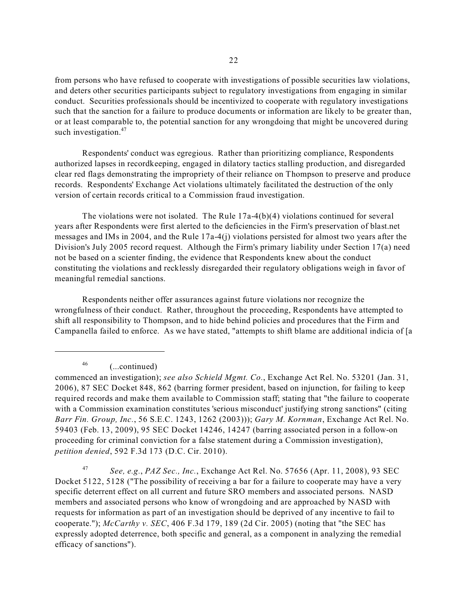such investigation.<sup>47</sup> from persons who have refused to cooperate with investigations of possible securities law violations, and deters other securities participants subject to regulatory investigations from engaging in similar conduct. Securities professionals should be incentivized to cooperate with regulatory investigations such that the sanction for a failure to produce documents or information are likely to be greater than, or at least comparable to, the potential sanction for any wrongdoing that might be uncovered during

Respondents' conduct was egregious. Rather than prioritizing compliance, Respondents authorized lapses in recordkeeping, engaged in dilatory tactics stalling production, and disregarded clear red flags demonstrating the impropriety of their reliance on Thompson to preserve and produce records. Respondents' Exchange Act violations ultimately facilitated the destruction of the only version of certain records critical to a Commission fraud investigation.

The violations were not isolated. The Rule  $17a-4(b)(4)$  violations continued for several years after Respondents were first alerted to the deficiencies in the Firm's preservation of blast.net messages and IMs in 2004, and the Rule 17a-4(j) violations persisted for almost two years after the Division's July 2005 record request. Although the Firm's primary liability under Section 17(a) need not be based on a scienter finding, the evidence that Respondents knew about the conduct constituting the violations and recklessly disregarded their regulatory obligations weigh in favor of meaningful remedial sanctions.

Respondents neither offer assurances against future violations nor recognize the wrongfulness of their conduct. Rather, throughout the proceeding, Respondents have attempted to shift all responsibility to Thompson, and to hide behind policies and procedures that the Firm and Campanella failed to enforce. As we have stated, "attempts to shift blame are additional indicia of [a

46 (...continued)

<sup>47</sup>*See, e.g.*, *PAZ Sec., Inc.*, Exchange Act Rel. No. 57656 (Apr. 11, 2008), 93 SEC Docket 5122, 5128 ("The possibility of receiving a bar for a failure to cooperate may have a very specific deterrent effect on all current and future SRO members and associated persons. NASD members and associated persons who know of wrongdoing and are approached by NASD with requests for information as part of an investigation should be deprived of any incentive to fail to cooperate."); *McCarthy v. SEC*, 406 F.3d 179, 189 (2d Cir. 2005) (noting that "the SEC has expressly adopted deterrence, both specific and general, as a component in analyzing the remedial efficacy of sanctions").

commenced an investigation); *see also Schield Mgmt. Co.*, Exchange Act Rel. No. 53201 (Jan. 31, 2006), 87 SEC Docket 848, 862 (barring former president, based on injunction, for failing to keep required records and make them available to Commission staff; stating that "the failure to cooperate with a Commission examination constitutes 'serious misconduct' justifying strong sanctions" (citing *Barr Fin. Group, Inc.*, 56 S.E.C. 1243, 1262 (2003))); *Gary M. Kornman*, Exchange Act Rel. No. 59403 (Feb. 13, 2009), 95 SEC Docket 14246, 14247 (barring associated person in a follow-on proceeding for criminal conviction for a false statement during a Commission investigation), *petition denied*, 592 F.3d 173 (D.C. Cir. 2010).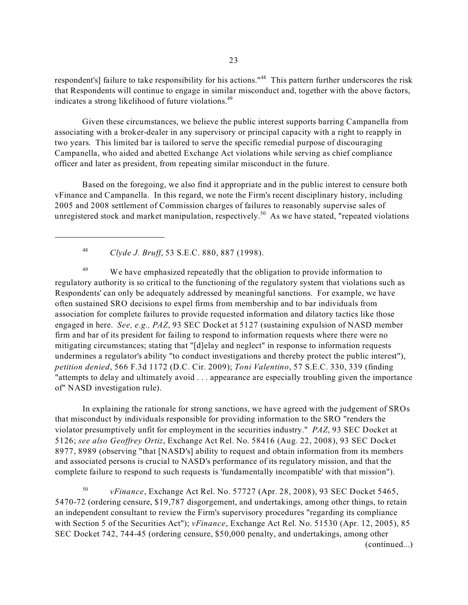respondent's] failure to take responsibility for his actions."<sup>48</sup> This pattern further underscores the risk that Respondents will continue to engage in similar misconduct and, together with the above factors, indicates a strong likelihood of future violations.<sup>49</sup>

Given these circumstances, we believe the public interest supports barring Campanella from associating with a broker-dealer in any supervisory or principal capacity with a right to reapply in two years. This limited bar is tailored to serve the specific remedial purpose of discouraging Campanella, who aided and abetted Exchange Act violations while serving as chief compliance officer and later as president, from repeating similar misconduct in the future.

Based on the foregoing, we also find it appropriate and in the public interest to censure both vFinance and Campanella. In this regard, we note the Firm's recent disciplinary history, including 2005 and 2008 settlement of Commission charges of failures to reasonably supervise sales of unregistered stock and market manipulation, respectively.<sup>50</sup> As we have stated, "repeated violations"

<sup>48</sup>*Clyde J. Bruff*, 53 S.E.C. 880, 887 (1998).

<sup>49</sup> We have emphasized repeatedly that the obligation to provide information to regulatory authority is so critical to the functioning of the regulatory system that violations such as Respondents' can only be adequately addressed by meaningful sanctions. For example, we have often sustained SRO decisions to expel firms from membership and to bar individuals from association for complete failures to provide requested information and dilatory tactics like those engaged in here. *See, e.g., PAZ*, 93 SEC Docket at 5127 (sustaining expulsion of NASD member firm and bar of its president for failing to respond to information requests where there were no mitigating circumstances; stating that "[d]elay and neglect" in response to information requests undermines a regulator's ability "to conduct investigations and thereby protect the public interest"), *petition denied*, 566 F.3d 1172 (D.C. Cir. 2009); *Toni Valentino*, 57 S.E.C. 330, 339 (finding "attempts to delay and ultimately avoid . . . appearance are especially troubling given the importance of" NASD investigation rule).

 violator presumptively unfit for employment in the securities industry." *PAZ*, 93 SEC Docket at In explaining the rationale for strong sanctions, we have agreed with the judgement of SROs that misconduct by individuals responsible for providing information to the SRO "renders the 5126; *see also Geoffrey Ortiz*, Exchange Act Rel. No. 58416 (Aug. 22, 2008), 93 SEC Docket 8977, 8989 (observing "that [NASD's] ability to request and obtain information from its members and associated persons is crucial to NASD's performance of its regulatory mission, and that the complete failure to respond to such requests is 'fundamentally incompatible' with that mission").

<sup>50</sup>*vFinance*, Exchange Act Rel. No. 57727 (Apr. 28, 2008), 93 SEC Docket 5465, 5470-72 (ordering censure, \$19,787 disgorgement, and undertakings, among other things, to retain an independent consultant to review the Firm's supervisory procedures "regarding its compliance with Section 5 of the Securities Act"); *vFinance*, Exchange Act Rel. No. 51530 (Apr. 12, 2005), 85 SEC Docket 742, 744-45 (ordering censure, \$50,000 penalty, and undertakings, among other (continued...)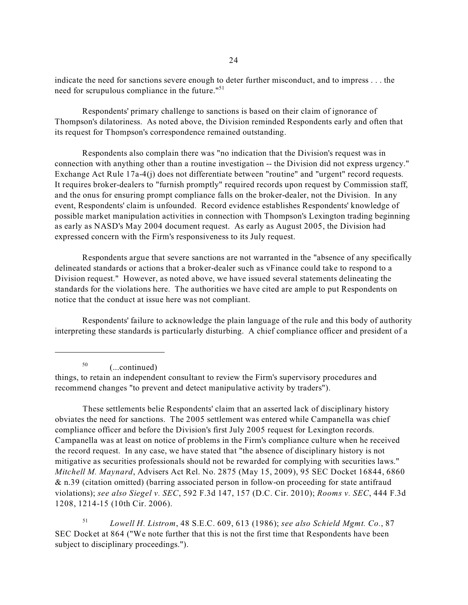need for scrupulous compliance in the future."<sup>51</sup> indicate the need for sanctions severe enough to deter further misconduct, and to impress . . . the

Respondents' primary challenge to sanctions is based on their claim of ignorance of Thompson's dilatoriness. As noted above, the Division reminded Respondents early and often that its request for Thompson's correspondence remained outstanding.

Respondents also complain there was "no indication that the Division's request was in connection with anything other than a routine investigation -- the Division did not express urgency." Exchange Act Rule 17a-4(j) does not differentiate between "routine" and "urgent" record requests. It requires broker-dealers to "furnish promptly" required records upon request by Commission staff, and the onus for ensuring prompt compliance falls on the broker-dealer, not the Division. In any event, Respondents' claim is unfounded. Record evidence establishes Respondents' knowledge of possible market manipulation activities in connection with Thompson's Lexington trading beginning as early as NASD's May 2004 document request. As early as August 2005, the Division had expressed concern with the Firm's responsiveness to its July request.

Respondents argue that severe sanctions are not warranted in the "absence of any specifically delineated standards or actions that a broker-dealer such as vFinance could take to respond to a Division request." However, as noted above, we have issued several statements delineating the standards for the violations here. The authorities we have cited are ample to put Respondents on notice that the conduct at issue here was not compliant.

Respondents' failure to acknowledge the plain language of the rule and this body of authority interpreting these standards is particularly disturbing. A chief compliance officer and president of a

50 (...continued)

things, to retain an independent consultant to review the Firm's supervisory procedures and recommend changes "to prevent and detect manipulative activity by traders").

These settlements belie Respondents' claim that an asserted lack of disciplinary history obviates the need for sanctions. The 2005 settlement was entered while Campanella was chief compliance officer and before the Division's first July 2005 request for Lexington records. Campanella was at least on notice of problems in the Firm's compliance culture when he received the record request. In any case, we have stated that "the absence of disciplinary history is not mitigative as securities professionals should not be rewarded for complying with securities laws." *Mitchell M. Maynard*, Advisers Act Rel. No. 2875 (May 15, 2009), 95 SEC Docket 16844, 6860 & n.39 (citation omitted) (barring associated person in follow-on proceeding for state antifraud violations); *see also Siegel v. SEC*, 592 F.3d 147, 157 (D.C. Cir. 2010); *Rooms v. SEC*, 444 F.3d 1208, 1214-15 (10th Cir. 2006).

<sup>51</sup>*Lowell H. Listrom*, 48 S.E.C. 609, 613 (1986); *see also Schield Mgmt. Co.*, 87 SEC Docket at 864 ("We note further that this is not the first time that Respondents have been subject to disciplinary proceedings.").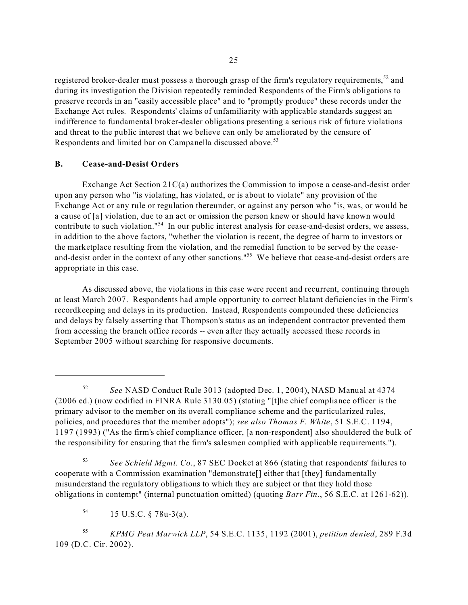registered broker-dealer must possess a thorough grasp of the firm's regulatory requirements,<sup>52</sup> and during its investigation the Division repeatedly reminded Respondents of the Firm's obligations to preserve records in an "easily accessible place" and to "promptly produce" these records under the Exchange Act rules. Respondents' claims of unfamiliarity with applicable standards suggest an indifference to fundamental broker-dealer obligations presenting a serious risk of future violations and threat to the public interest that we believe can only be ameliorated by the censure of Respondents and limited bar on Campanella discussed above.<sup>53</sup>

## **B. Cease-and-Desist Orders**

Exchange Act Section 21C(a) authorizes the Commission to impose a cease-and-desist order upon any person who "is violating, has violated, or is about to violate" any provision of the Exchange Act or any rule or regulation thereunder, or against any person who "is, was, or would be a cause of [a] violation, due to an act or omission the person knew or should have known would contribute to such violation."54 In our public interest analysis for cease-and-desist orders, we assess, in addition to the above factors, "whether the violation is recent, the degree of harm to investors or the marketplace resulting from the violation, and the remedial function to be served by the ceaseand-desist order in the context of any other sanctions."<sup>55</sup> We believe that cease-and-desist orders are appropriate in this case.

As discussed above, the violations in this case were recent and recurrent, continuing through at least March 2007. Respondents had ample opportunity to correct blatant deficiencies in the Firm's recordkeeping and delays in its production. Instead, Respondents compounded these deficiencies and delays by falsely asserting that Thompson's status as an independent contractor prevented them from accessing the branch office records -- even after they actually accessed these records in September 2005 without searching for responsive documents.

<sup>53</sup>*See Schield Mgmt. Co.*, 87 SEC Docket at 866 (stating that respondents' failures to cooperate with a Commission examination "demonstrate[] either that [they] fundamentally misunderstand the regulatory obligations to which they are subject or that they hold those obligations in contempt" (internal punctuation omitted) (quoting *Barr Fin.*, 56 S.E.C. at 1261-62)).

<sup>55</sup>*KPMG Peat Marwick LLP*, 54 S.E.C. 1135, 1192 (2001), *petition denied*, 289 F.3d 109 (D.C. Cir. 2002).

<sup>52</sup>*See* NASD Conduct Rule 3013 (adopted Dec. 1, 2004), NASD Manual at 4374 (2006 ed.) (now codified in FINRA Rule 3130.05) (stating "[t]he chief compliance officer is the primary advisor to the member on its overall compliance scheme and the particularized rules, policies, and procedures that the member adopts"); *see also Thomas F. White*, 51 S.E.C. 1194, 1197 (1993) ("As the firm's chief compliance officer, [a non-respondent] also shouldered the bulk of the responsibility for ensuring that the firm's salesmen complied with applicable requirements.").

 $^{54}$  15 U.S.C. § 78u-3(a).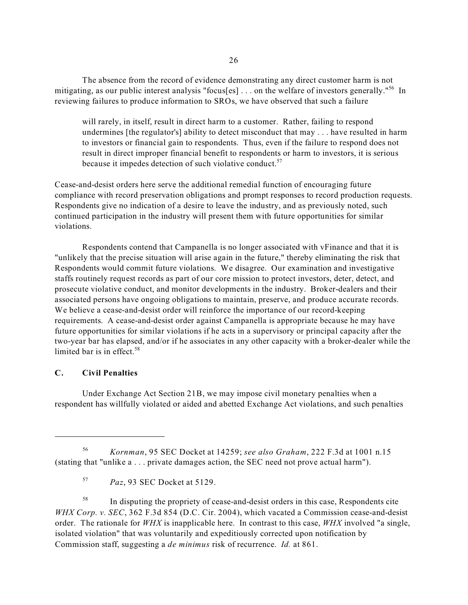The absence from the record of evidence demonstrating any direct customer harm is not mitigating, as our public interest analysis "focus[es] ... on the welfare of investors generally."<sup>56</sup> In reviewing failures to produce information to SROs, we have observed that such a failure

because it impedes detection of such violative conduct.<sup>57</sup> will rarely, in itself, result in direct harm to a customer. Rather, failing to respond undermines [the regulator's] ability to detect misconduct that may . . . have resulted in harm to investors or financial gain to respondents. Thus, even if the failure to respond does not result in direct improper financial benefit to respondents or harm to investors, it is serious

Cease-and-desist orders here serve the additional remedial function of encouraging future compliance with record preservation obligations and prompt responses to record production requests. Respondents give no indication of a desire to leave the industry, and as previously noted, such continued participation in the industry will present them with future opportunities for similar violations.

Respondents contend that Campanella is no longer associated with vFinance and that it is "unlikely that the precise situation will arise again in the future," thereby eliminating the risk that Respondents would commit future violations. We disagree. Our examination and investigative staffs routinely request records as part of our core mission to protect investors, deter, detect, and prosecute violative conduct, and monitor developments in the industry. Broker-dealers and their associated persons have ongoing obligations to maintain, preserve, and produce accurate records. We believe a cease-and-desist order will reinforce the importance of our record-keeping requirements. A cease-and-desist order against Campanella is appropriate because he may have future opportunities for similar violations if he acts in a supervisory or principal capacity after the two-year bar has elapsed, and/or if he associates in any other capacity with a broker-dealer while the limited bar is in effect. $58$ 

#### **C. Civil Penalties**

Under Exchange Act Section 21B, we may impose civil monetary penalties when a respondent has willfully violated or aided and abetted Exchange Act violations, and such penalties

<sup>58</sup> In disputing the propriety of cease-and-desist orders in this case, Respondents cite *WHX Corp. v. SEC*, 362 F.3d 854 (D.C. Cir. 2004), which vacated a Commission cease-and-desist order. The rationale for *WHX* is inapplicable here. In contrast to this case, *WHX* involved "a single, isolated violation" that was voluntarily and expeditiously corrected upon notification by Commission staff, suggesting a *de minimus* risk of recurrence. *Id.* at 861.

<sup>56</sup>*Kornman*, 95 SEC Docket at 14259; *see also Graham*, 222 F.3d at 1001 n.15 (stating that "unlike a . . . private damages action, the SEC need not prove actual harm").

<sup>57</sup>*Paz*, 93 SEC Docket at 5129.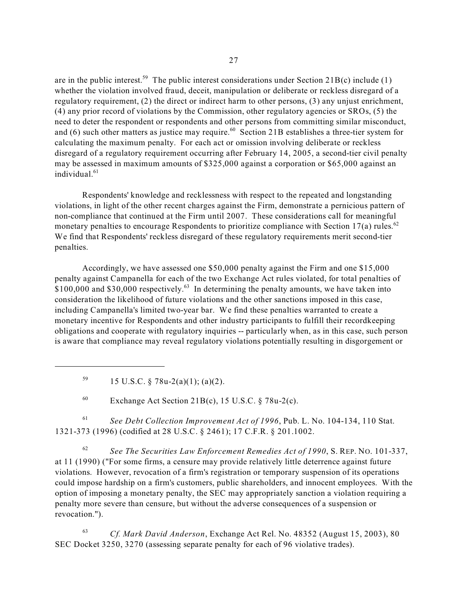are in the public interest.<sup>59</sup> The public interest considerations under Section 21B(c) include (1) whether the violation involved fraud, deceit, manipulation or deliberate or reckless disregard of a regulatory requirement, (2) the direct or indirect harm to other persons, (3) any unjust enrichment, (4) any prior record of violations by the Commission, other regulatory agencies or SROs, (5) the need to deter the respondent or respondents and other persons from committing similar misconduct, and  $(6)$  such other matters as justice may require.<sup>60</sup> Section 21B establishes a three-tier system for calculating the maximum penalty. For each act or omission involving deliberate or reckless disregard of a regulatory requirement occurring after February 14, 2005, a second-tier civil penalty may be assessed in maximum amounts of \$325,000 against a corporation or \$65,000 against an individual. $61$ 

Respondents' knowledge and recklessness with respect to the repeated and longstanding violations, in light of the other recent charges against the Firm, demonstrate a pernicious pattern of non-compliance that continued at the Firm until 2007. These considerations call for meaningful monetary penalties to encourage Respondents to prioritize compliance with Section 17(a) rules.<sup>62</sup> We find that Respondents' reckless disregard of these regulatory requirements merit second-tier penalties.

Accordingly, we have assessed one \$50,000 penalty against the Firm and one \$15,000 penalty against Campanella for each of the two Exchange Act rules violated, for total penalties of \$100,000 and \$30,000 respectively.<sup>63</sup> In determining the penalty amounts, we have taken into consideration the likelihood of future violations and the other sanctions imposed in this case, including Campanella's limited two-year bar. We find these penalties warranted to create a monetary incentive for Respondents and other industry participants to fulfill their recordkeeping obligations and cooperate with regulatory inquiries -- particularly when, as in this case, such person is aware that compliance may reveal regulatory violations potentially resulting in disgorgement or

<sup>59</sup> 15 U.S.C. § 78u-2(a)(1); (a)(2).

<sup>60</sup> Exchange Act Section 21B(c), 15 U.S.C.  $\S$  78u-2(c).

<sup>61</sup>*See Debt Collection Improvement Act of 1996*, Pub. L. No. 104-134, 110 Stat. 1321-373 (1996) (codified at 28 U.S.C. § 2461); 17 C.F.R. § 201.1002.

<sup>62</sup>*See The Securities Law Enforcement Remedies Act of 1990*, S. REP. NO. 101-337, at 11 (1990) ("For some firms, a censure may provide relatively little deterrence against future violations. However, revocation of a firm's registration or temporary suspension of its operations could impose hardship on a firm's customers, public shareholders, and innocent employees. With the option of imposing a monetary penalty, the SEC may appropriately sanction a violation requiring a penalty more severe than censure, but without the adverse consequences of a suspension or revocation.").

<sup>63</sup>*Cf. Mark David Anderson*, Exchange Act Rel. No. 48352 (August 15, 2003), 80 SEC Docket 3250, 3270 (assessing separate penalty for each of 96 violative trades).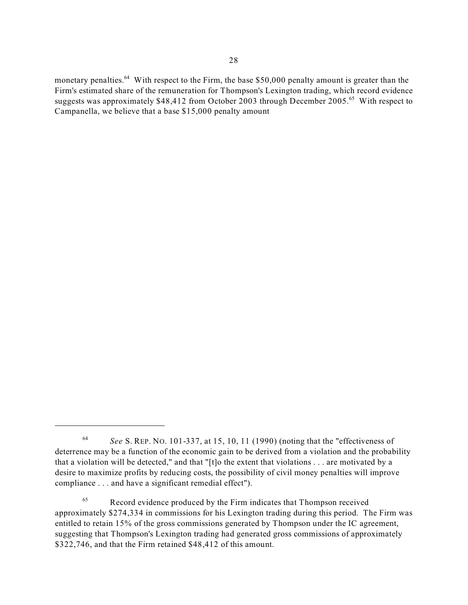monetary penalties.<sup>64</sup> With respect to the Firm, the base \$50,000 penalty amount is greater than the Firm's estimated share of the remuneration for Thompson's Lexington trading, which record evidence suggests was approximately \$48,412 from October 2003 through December 2005.<sup>65</sup> With respect to Campanella, we believe that a base \$15,000 penalty amount

<sup>64</sup>*See* S. REP. NO. 101-337, at 15, 10, 11 (1990) (noting that the "effectiveness of deterrence may be a function of the economic gain to be derived from a violation and the probability that a violation will be detected," and that "[t]o the extent that violations . . . are motivated by a desire to maximize profits by reducing costs, the possibility of civil money penalties will improve compliance . . . and have a significant remedial effect").

<sup>&</sup>lt;sup>65</sup> Record evidence produced by the Firm indicates that Thompson received approximately \$274,334 in commissions for his Lexington trading during this period. The Firm was entitled to retain 15% of the gross commissions generated by Thompson under the IC agreement, suggesting that Thompson's Lexington trading had generated gross commissions of approximately \$322,746, and that the Firm retained \$48,412 of this amount.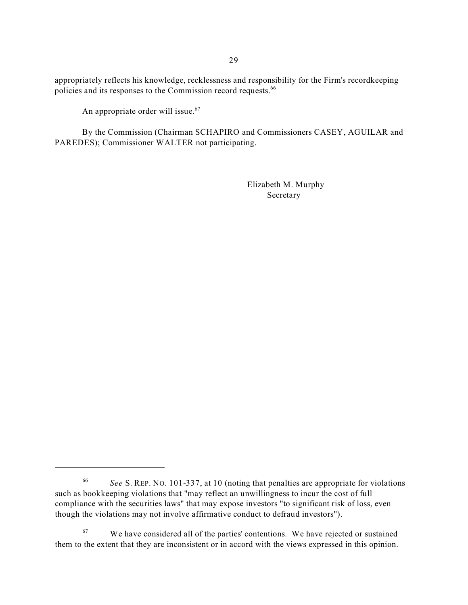appropriately reflects his knowledge, recklessness and responsibility for the Firm's recordkeeping policies and its responses to the Commission record requests.<sup>66</sup>

An appropriate order will issue.<sup>67</sup>

By the Commission (Chairman SCHAPIRO and Commissioners CASEY, AGUILAR and PAREDES); Commissioner WALTER not participating.

> Elizabeth M. Murphy Secretary

<sup>66</sup>*See* S. REP. NO. 101-337, at 10 (noting that penalties are appropriate for violations such as bookkeeping violations that "may reflect an unwillingness to incur the cost of full compliance with the securities laws" that may expose investors "to significant risk of loss, even though the violations may not involve affirmative conduct to defraud investors").

 $67$  We have considered all of the parties' contentions. We have rejected or sustained them to the extent that they are inconsistent or in accord with the views expressed in this opinion.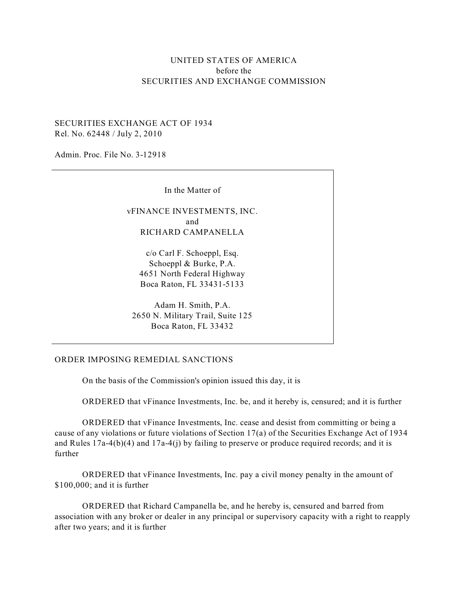# UNITED STATES OF AMERICA before the SECURITIES AND EXCHANGE COMMISSION

## SECURITIES EXCHANGE ACT OF 1934 Rel. No. 62448 / July 2, 2010

Admin. Proc. File No. 3-12918

In the Matter of

vFINANCE INVESTMENTS, INC. and RICHARD CAMPANELLA

c/o Carl F. Schoeppl, Esq. Schoeppl & Burke, P.A. 4651 North Federal Highway Boca Raton, FL 33431-5133

Adam H. Smith, P.A. 2650 N. Military Trail, Suite 125 Boca Raton, FL 33432

#### ORDER IMPOSING REMEDIAL SANCTIONS

On the basis of the Commission's opinion issued this day, it is

ORDERED that vFinance Investments, Inc. be, and it hereby is, censured; and it is further

ORDERED that vFinance Investments, Inc. cease and desist from committing or being a cause of any violations or future violations of Section 17(a) of the Securities Exchange Act of 1934 and Rules  $17a-4(b)(4)$  and  $17a-4(i)$  by failing to preserve or produce required records; and it is further

ORDERED that vFinance Investments, Inc. pay a civil money penalty in the amount of \$100,000; and it is further

ORDERED that Richard Campanella be, and he hereby is, censured and barred from association with any broker or dealer in any principal or supervisory capacity with a right to reapply after two years; and it is further